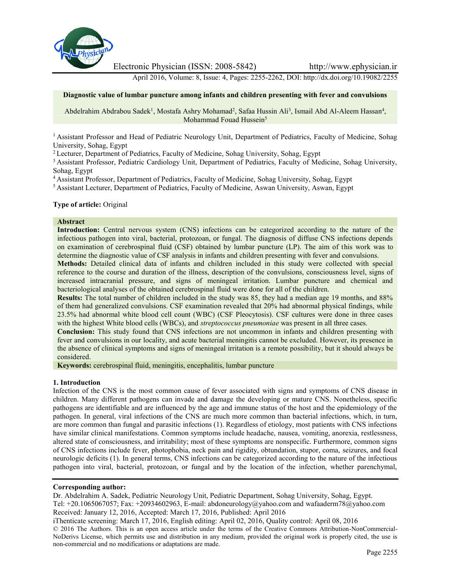

Electronic Physician (ISSN: 2008-5842) http://www.ephysician.ir

April 2016, Volume: 8, Issue: 4, Pages: 2255-2262, DOI: http://dx.doi.org/10.19082/2255

### **Diagnostic value of lumbar puncture among infants and children presenting with fever and convulsions**

Abdelrahim Abdrabou Sadek<sup>1</sup>, Mostafa Ashry Mohamad<sup>2</sup>, Safaa Hussin Ali<sup>3</sup>, Ismail Abd Al-Aleem Hassan<sup>4</sup>, Mohammad Fouad Hussein<sup>5</sup>

<sup>1</sup> Assistant Professor and Head of Pediatric Neurology Unit, Department of Pediatrics, Faculty of Medicine, Sohag University, Sohag, Egypt

<sup>2</sup> Lecturer, Department of Pediatrics, Faculty of Medicine, Sohag University, Sohag, Egypt

<sup>3</sup> Assistant Professor, Pediatric Cardiology Unit, Department of Pediatrics, Faculty of Medicine, Sohag University, Sohag, Egypt

<sup>4</sup> Assistant Professor, Department of Pediatrics, Faculty of Medicine, Sohag University, Sohag, Egypt

<sup>5</sup> Assistant Lecturer, Department of Pediatrics, Faculty of Medicine, Aswan University, Aswan, Egypt

#### **Type of article:** Original

#### **Abstract**

**Introduction:** Central nervous system (CNS) infections can be categorized according to the nature of the infectious pathogen into viral, bacterial, protozoan, or fungal. The diagnosis of diffuse CNS infections depends on examination of cerebrospinal fluid (CSF) obtained by lumbar puncture (LP). The aim of this work was to determine the diagnostic value of CSF analysis in infants and children presenting with fever and convulsions.

**Methods:** Detailed clinical data of infants and children included in this study were collected with special reference to the course and duration of the illness, description of the convulsions, consciousness level, signs of increased intracranial pressure, and signs of meningeal irritation. Lumbar puncture and chemical and bacteriological analyses of the obtained cerebrospinal fluid were done for all of the children.

**Results:** The total number of children included in the study was 85, they had a median age 19 months, and 88% of them had generalized convulsions. CSF examination revealed that 20% had abnormal physical findings, while 23.5% had abnormal white blood cell count (WBC) (CSF Pleocytosis). CSF cultures were done in three cases with the highest White blood cells (WBCs), and *streptococcus pneumoniae* was present in all three cases.

**Conclusion:** This study found that CNS infections are not uncommon in infants and children presenting with fever and convulsions in our locality, and acute bacterial meningitis cannot be excluded. However, its presence in the absence of clinical symptoms and signs of meningeal irritation is a remote possibility, but it should always be considered.

**Keywords:** cerebrospinal fluid, meningitis, encephalitis, lumbar puncture

#### **1. Introduction**

Infection of the CNS is the most common cause of fever associated with signs and symptoms of CNS disease in children. Many different pathogens can invade and damage the developing or mature CNS. Nonetheless, specific pathogens are identifiable and are influenced by the age and immune status of the host and the epidemiology of the pathogen. In general, viral infections of the CNS are much more common than bacterial infections, which, in turn, are more common than fungal and parasitic infections (1). Regardless of etiology, most patients with CNS infections have similar clinical manifestations. Common symptoms include headache, nausea, vomiting, anorexia, restlessness, altered state of consciousness, and irritability; most of these symptoms are nonspecific. Furthermore, common signs of CNS infections include fever, photophobia, neck pain and rigidity, obtundation, stupor, coma, seizures, and focal neurologic deficits (1). In general terms, CNS infections can be categorized according to the nature of the infectious pathogen into viral, bacterial, protozoan, or fungal and by the location of the infection, whether parenchymal,

#### **Corresponding author:**

Dr. Abdelrahim A. Sadek, Pediatric Neurology Unit, Pediatric Department, Sohag University, Sohag, Egypt. Tel: +20.1065067057; Fax: +20934602963, E-mail: abdoneurology@yahoo.com and wafaaderm78@yahoo.com Received: January 12, 2016, Accepted: March 17, 2016, Published: April 2016

iThenticate screening: March 17, 2016, English editing: April 02, 2016, Quality control: April 08, 2016 © 2016 The Authors. This is an open access article under the terms of the Creative Commons Attribution-NonCommercial- NoDerivs License, which permits use and distribution in any medium, provided the original work is properly cited, the use is non-commercial and no modifications or adaptations are made.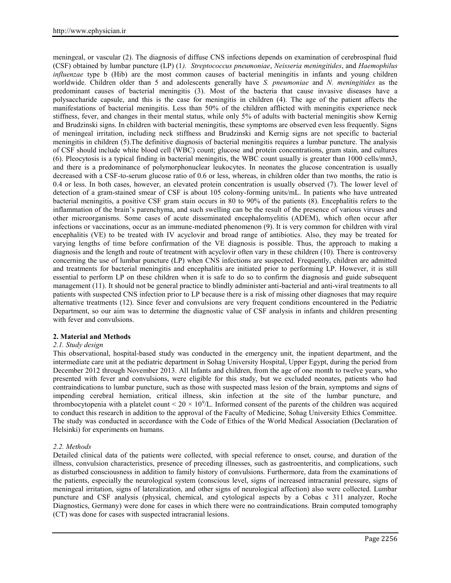meningeal, or vascular (2). The diagnosis of diffuse CNS infections depends on examination of cerebrospinal fluid (CSF) obtained by lumbar puncture (LP) (1*). Streptococcus pneumoniae*, *Neisseria meningitides*, and *Haemophilus influenzae* type b (Hib) are the most common causes of bacterial meningitis in infants and young children worldwide. Children older than 5 and adolescents generally have *S. pneumoniae* and *N. meningitides* as the predominant causes of bacterial meningitis (3). Most of the bacteria that cause invasive diseases have a polysaccharide capsule, and this is the case for meningitis in children (4). The age of the patient affects the manifestations of bacterial meningitis. Less than 50% of the children afflicted with meningitis experience neck stiffness, fever, and changes in their mental status, while only 5% of adults with bacterial meningitis show Kernig and Brudzinski signs. In children with bacterial meningitis, these symptoms are observed even less frequently. Signs of meningeal irritation, including neck stiffness and Brudzinski and Kernig signs are not specific to bacterial meningitis in children (5).The definitive diagnosis of bacterial meningitis requires a lumbar puncture. The analysis of CSF should include white blood cell (WBC) count; glucose and protein concentrations, gram stain, and cultures (6). Pleocytosis is a typical finding in bacterial meningitis, the WBC count usually is greater than 1000 cells/mm3, and there is a predominance of polymorphonuclear leukocytes. In neonates the glucose concentration is usually decreased with a CSF-to-serum glucose ratio of 0.6 or less, whereas, in children older than two months, the ratio is 0.4 or less. In both cases, however, an elevated protein concentration is usually observed (7). The lower level of detection of a gram-stained smear of CSF is about 105 colony-forming units/mL. In patients who have untreated bacterial meningitis, a positive CSF gram stain occurs in 80 to 90% of the patients (8). Encephalitis refers to the inflammation of the brain's parenchyma, and such swelling can be the result of the presence of various viruses and other microorganisms. Some cases of acute disseminated encephalomyelitis (ADEM), which often occur after infections or vaccinations, occur as an immune-mediated phenomenon (9). It is very common for children with viral encephalitis (VE) to be treated with IV acyclovir and broad range of antibiotics. Also, they may be treated for varying lengths of time before confirmation of the VE diagnosis is possible. Thus, the approach to making a diagnosis and the length and route of treatment with acyclovir often vary in these children (10). There is controversy concerning the use of lumbar puncture (LP) when CNS infections are suspected. Frequently, children are admitted and treatments for bacterial meningitis and encephalitis are initiated prior to performing LP. However, it is still essential to perform LP on these children when it is safe to do so to confirm the diagnosis and guide subsequent management (11). It should not be general practice to blindly administer anti-bacterial and anti-viral treatments to all patients with suspected CNS infection prior to LP because there is a risk of missing other diagnoses that may require alternative treatments (12). Since fever and convulsions are very frequent conditions encountered in the Pediatric Department, so our aim was to determine the diagnostic value of CSF analysis in infants and children presenting with fever and convulsions.

### **2. Material and Methods**

### *2.1. Study design*

This observational, hospital-based study was conducted in the emergency unit, the inpatient department, and the intermediate care unit at the pediatric department in Sohag University Hospital, Upper Egypt, during the period from December 2012 through November 2013. All Infants and children, from the age of one month to twelve years, who presented with fever and convulsions, were eligible for this study, but we excluded neonates, patients who had contraindications to lumbar puncture, such as those with suspected mass lesion of the brain, symptoms and signs of impending cerebral herniation, critical illness, skin infection at the site of the lumbar puncture, and thrombocytopenia with a platelet count  $< 20 \times 10^9$ /L. Informed consent of the parents of the children was acquired to conduct this research in addition to the approval of the Faculty of Medicine, Sohag University Ethics Committee. The study was conducted in accordance with the Code of Ethics of the World Medical Association (Declaration of Helsinki) for experiments on humans.

### *2.2. Methods*

Detailed clinical data of the patients were collected, with special reference to onset, course, and duration of the illness, convulsion characteristics, presence of preceding illnesses, such as gastroenteritis, and complications, such as disturbed consciousness in addition to family history of convulsions. Furthermore, data from the examinations of the patients, especially the neurological system (conscious level, signs of increased intracranial pressure, signs of meningeal irritation, signs of lateralization, and other signs of neurological affection) also were collected. Lumbar puncture and CSF analysis (physical, chemical, and cytological aspects by a Cobas c 311 analyzer, Roche Diagnostics, Germany) were done for cases in which there were no contraindications. Brain computed tomography (CT) was done for cases with suspected intracranial lesions.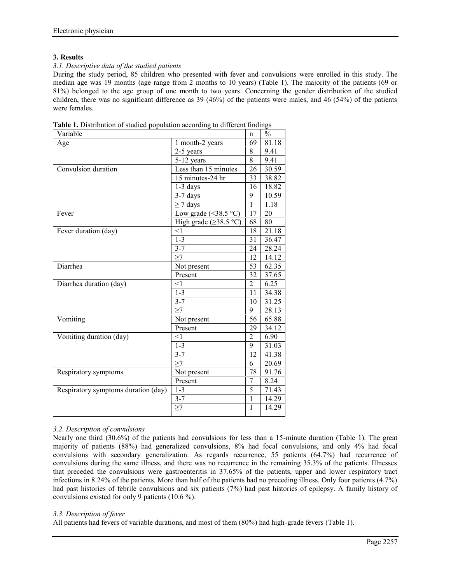# **3. Results**

### *3.1. Descriptive data of the studied patients*

During the study period, 85 children who presented with fever and convulsions were enrolled in this study. The median age was 19 months (age range from 2 months to 10 years) (Table 1). The majority of the patients (69 or 81%) belonged to the age group of one month to two years. Concerning the gender distribution of the studied children, there was no significant difference as 39 (46%) of the patients were males, and 46 (54%) of the patients were females.

| Variable                            |                                    | n              | $\frac{0}{0}$ |
|-------------------------------------|------------------------------------|----------------|---------------|
| Age                                 | 1 month-2 years                    | 69             | 81.18         |
|                                     | 2-5 years                          | 8              | 9.41          |
|                                     | 5-12 years                         | 8              | 9.41          |
| Convulsion duration                 | Less than 15 minutes               | 26             | 30.59         |
|                                     | 15 minutes-24 hr                   | 33             | 38.82         |
|                                     | $1-3$ days                         | 16             | 18.82         |
|                                     | $3-7$ days                         | 9              | 10.59         |
|                                     | $\geq$ 7 days                      | $\mathbf{1}$   | 1.18          |
| Fever                               | Low grade $(\leq 38.5 \degree C)$  | 17             | 20            |
|                                     | High grade $(\geq 38.5 \degree C)$ | 68             | 80            |
| Fever duration (day)                | <1                                 | 18             | 21.18         |
|                                     | $1 - 3$                            | 31             | 36.47         |
|                                     | $3 - 7$                            | 24             | 28.24         |
|                                     | $\geq$ 7                           | 12             | 14.12         |
| Diarrhea                            | Not present                        | 53             | 62.35         |
|                                     | Present                            | 32             | 37.65         |
| Diarrhea duration (day)             | $\leq$ 1                           | 2              | 6.25          |
|                                     | $1 - 3$                            | 11             | 34.38         |
|                                     | $3 - 7$                            | 10             | 31.25         |
|                                     | $\geq$ 7                           | 9              | 28.13         |
| Vomiting                            | Not present                        | 56             | 65.88         |
|                                     | Present                            | 29             | 34.12         |
| Vomiting duration (day)             | $\leq$ 1                           | $\overline{2}$ | 6.90          |
|                                     | $1 - 3$                            | 9              | 31.03         |
|                                     | $3 - 7$                            | 12             | 41.38         |
|                                     | $\geq$ 7                           | 6              | 20.69         |
| Respiratory symptoms                | Not present                        | 78             | 91.76         |
|                                     | Present                            | 7              | 8.24          |
| Respiratory symptoms duration (day) | $1-3$                              | 5              | 71.43         |
|                                     | $3 - 7$                            | $\mathbf{1}$   | 14.29         |
|                                     | $\geq$ 7                           | 1              | 14.29         |
|                                     |                                    |                |               |

**Table 1.** Distribution of studied population according to different findings

# *3.2. Description of convulsions*

Nearly one third (30.6%) of the patients had convulsions for less than a 15-minute duration (Table 1). The great majority of patients (88%) had generalized convulsions, 8% had focal convulsions, and only 4% had focal convulsions with secondary generalization. As regards recurrence, 55 patients (64.7%) had recurrence of convulsions during the same illness, and there was no recurrence in the remaining 35.3% of the patients. Illnesses that preceded the convulsions were gastroenteritis in 37.65% of the patients, upper and lower respiratory tract infections in 8.24% of the patients. More than half of the patients had no preceding illness. Only four patients (4.7%) had past histories of febrile convulsions and six patients (7%) had past histories of epilepsy. A family history of convulsions existed for only 9 patients (10.6 %).

### *3.3. Description of fever*

All patients had fevers of variable durations, and most of them (80%) had high-grade fevers (Table 1).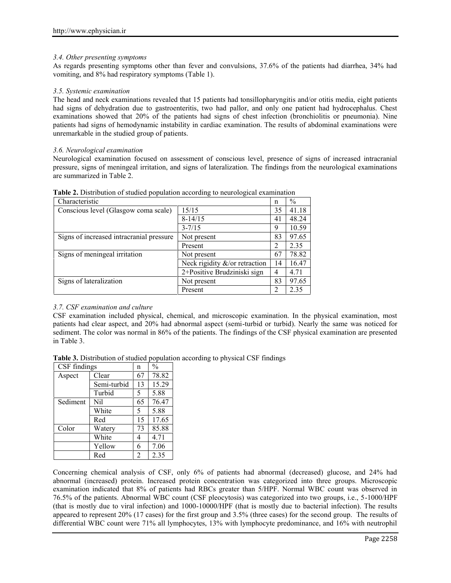### *3.4. Other presenting symptoms*

As regards presenting symptoms other than fever and convulsions, 37.6% of the patients had diarrhea, 34% had vomiting, and 8% had respiratory symptoms (Table 1).

### *3.5. Systemic examination*

The head and neck examinations revealed that 15 patients had tonsillopharyngitis and/or otitis media, eight patients had signs of dehydration due to gastroenteritis, two had pallor, and only one patient had hydrocephalus. Chest examinations showed that 20% of the patients had signs of chest infection (bronchiolitis or pneumonia). Nine patients had signs of hemodynamic instability in cardiac examination. The results of abdominal examinations were unremarkable in the studied group of patients.

### *3.6. Neurological examination*

Neurological examination focused on assessment of conscious level, presence of signs of increased intracranial pressure, signs of meningeal irritation, and signs of lateralization. The findings from the neurological examinations are summarized in Table 2.

| Characteristic                           |                               | n  | $\%$  |
|------------------------------------------|-------------------------------|----|-------|
| Conscious level (Glasgow coma scale)     | 15/15                         | 35 | 41.18 |
|                                          | $8-14/15$                     | 41 | 48.24 |
|                                          | $3 - 7/15$                    | 9  | 10.59 |
| Signs of increased intracranial pressure | Not present                   | 83 | 97.65 |
|                                          | Present                       | 2  | 2.35  |
| Signs of meningeal irritation            | Not present                   | 67 | 78.82 |
|                                          | Neck rigidity &/or retraction | 14 | 16.47 |
|                                          | 2+Positive Brudziniski sign   | 4  | 4.71  |
| Signs of lateralization                  | Not present                   | 83 | 97.65 |
|                                          | Present                       | 2  | 2.35  |

| Table 2. Distribution of studied population according to neurological examination |  |
|-----------------------------------------------------------------------------------|--|
|-----------------------------------------------------------------------------------|--|

# *3.7. CSF examination and culture*

CSF examination included physical, chemical, and microscopic examination. In the physical examination, most patients had clear aspect, and 20% had abnormal aspect (semi-turbid or turbid). Nearly the same was noticed for sediment. The color was normal in 86% of the patients. The findings of the CSF physical examination are presented in Table 3.

| CSF findings |             | n  | $\frac{0}{0}$ |
|--------------|-------------|----|---------------|
| Aspect       | Clear       | 67 | 78.82         |
|              | Semi-turbid | 13 | 15.29         |
|              | Turbid      | 5  | 5.88          |
| Sediment     | Nil         | 65 | 76.47         |
|              | White       | 5  | 5.88          |
|              | Red         | 15 | 17.65         |
| Color        | Watery      | 73 | 85.88         |
|              | White       | 4  | 4.71          |
|              | Yellow      | 6  | 7.06          |
|              | Red         | 2  | 2.35          |

Concerning chemical analysis of CSF, only 6% of patients had abnormal (decreased) glucose, and 24% had abnormal (increased) protein. Increased protein concentration was categorized into three groups. Microscopic examination indicated that 8% of patients had RBCs greater than 5/HPF. Normal WBC count was observed in 76.5% of the patients. Abnormal WBC count (CSF pleocytosis) was categorized into two groups, i.e., 5-1000/HPF (that is mostly due to viral infection) and 1000-10000/HPF (that is mostly due to bacterial infection). The results appeared to represent 20% (17 cases) for the first group and 3.5% (three cases) for the second group. The results of differential WBC count were 71% all lymphocytes, 13% with lymphocyte predominance, and 16% with neutrophil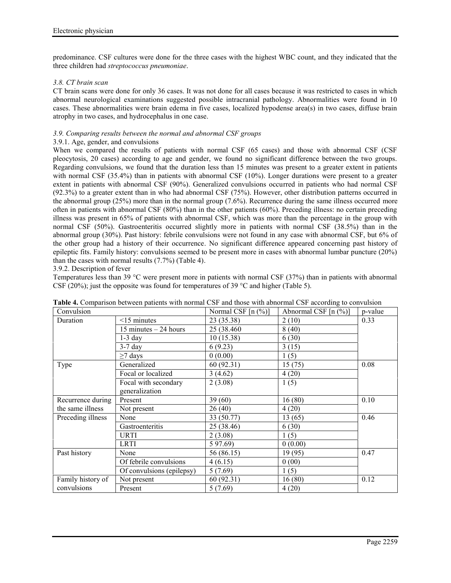predominance. CSF cultures were done for the three cases with the highest WBC count, and they indicated that the three children had *streptococcus pneumoniae*.

### *3.8. CT brain scan*

CT brain scans were done for only 36 cases. It was not done for all cases because it was restricted to cases in which abnormal neurological examinations suggested possible intracranial pathology. Abnormalities were found in 10 cases. These abnormalities were brain edema in five cases, localized hypodense area(s) in two cases, diffuse brain atrophy in two cases, and hydrocephalus in one case.

# *3.9. Comparing results between the normal and abnormal CSF groups*

#### 3.9.1. Age, gender, and convulsions

When we compared the results of patients with normal CSF (65 cases) and those with abnormal CSF (CSF pleocytosis, 20 cases) according to age and gender, we found no significant difference between the two groups. Regarding convulsions, we found that the duration less than 15 minutes was present to a greater extent in patients with normal CSF (35.4%) than in patients with abnormal CSF (10%). Longer durations were present to a greater extent in patients with abnormal CSF (90%). Generalized convulsions occurred in patients who had normal CSF (92.3%) to a greater extent than in who had abnormal CSF (75%). However, other distribution patterns occurred in the abnormal group (25%) more than in the normal group (7.6%). Recurrence during the same illness occurred more often in patients with abnormal CSF (80%) than in the other patients (60%). Preceding illness: no certain preceding illness was present in 65% of patients with abnormal CSF, which was more than the percentage in the group with normal CSF (50%). Gastroenteritis occurred slightly more in patients with normal CSF (38.5%) than in the abnormal group (30%). Past history: febrile convulsions were not found in any case with abnormal CSF, but 6% of the other group had a history of their occurrence. No significant difference appeared concerning past history of epileptic fits. Family history: convulsions seemed to be present more in cases with abnormal lumbar puncture (20%) than the cases with normal results (7.7%) (Table 4).

### 3.9.2. Description of fever

Temperatures less than 39 °C were present more in patients with normal CSF (37%) than in patients with abnormal CSF (20%); just the opposite was found for temperatures of 39  $^{\circ}$ C and higher (Table 5).

| Convulsion        |                           | Normal CSF $[n (%)]$ | Abnormal CSF $[n (%)]$ | p-value |
|-------------------|---------------------------|----------------------|------------------------|---------|
| Duration          | $<$ 15 minutes            | 23 (35.38)           | 2(10)                  | 0.33    |
|                   | 15 minutes $-24$ hours    | 25 (38.460)          | 8(40)                  |         |
|                   | $1-3$ day                 | 10(15.38)            | 6(30)                  |         |
|                   | $3-7$ day                 | 6(9.23)              | 3(15)                  |         |
|                   | $\geq$ 7 days             | 0(0.00)              | 1(5)                   |         |
| Type              | Generalized               | 60(92.31)            | 15(75)                 | 0.08    |
|                   | Focal or localized        | 3(4.62)              | 4(20)                  |         |
|                   | Focal with secondary      | 2(3.08)              | 1(5)                   |         |
|                   | generalization            |                      |                        |         |
| Recurrence during | Present                   | 39(60)               | 16(80)                 | 0.10    |
| the same illness  | Not present               | 26(40)               | 4(20)                  |         |
| Preceding illness | None                      | 33 (50.77)           | 13 (65)                | 0.46    |
|                   | Gastroenteritis           | 25 (38.46)           | 6(30)                  |         |
|                   | URTI                      | 2(3.08)              | 1(5)                   |         |
|                   | <b>LRTI</b>               | 5 97.69)             | 0(0.00)                |         |
| Past history      | None                      | 56 (86.15)           | 19(95)                 | 0.47    |
|                   | Of febrile convulsions    | 4(6.15)              | 0(00)                  |         |
|                   | Of convulsions (epilepsy) | 5(7.69)              | 1(5)                   |         |
| Family history of | Not present               | 60(92.31)            | 16(80)                 | 0.12    |
| convulsions       | Present                   | 5(7.69)              | 4(20)                  |         |

| <b>Table 4.</b> Comparison between patients with normal CSF and those with abnormal CSF according to convulsion |  |  |
|-----------------------------------------------------------------------------------------------------------------|--|--|
|                                                                                                                 |  |  |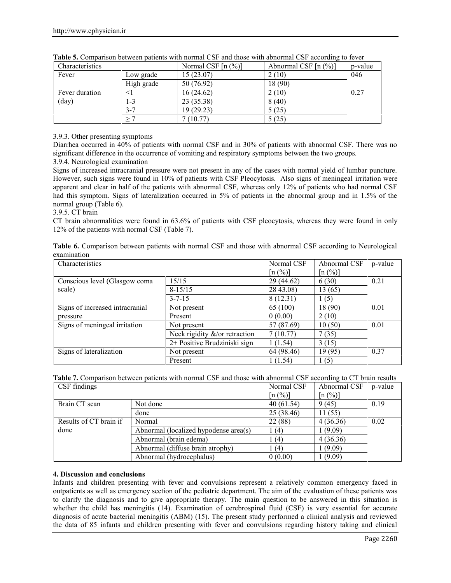| Characteristics |            | Normal CSF $[n (%)]$ | Abnormal CSF $[n (%)]$ | p-value |
|-----------------|------------|----------------------|------------------------|---------|
| Fever           | Low grade  | 15(23.07)            | 2(10)                  | 046     |
|                 | High grade | 50 (76.92)           | 18 (90)                |         |
| Fever duration  | $\leq$ 1   | 16(24.62)            | 2(10)                  | 0.27    |
| (day)           | 1-3        | 23 (35.38)           | 8(40)                  |         |
|                 | $3 - 7$    | 19(29.23)            | 5(25)                  |         |
|                 | $\geq 7$   | 7(10.77)             | 5(25)                  |         |

|  |  | <b>Table 5.</b> Comparison between patients with normal CSF and those with abnormal CSF according to fever |
|--|--|------------------------------------------------------------------------------------------------------------|
|  |  |                                                                                                            |

# 3.9.3. Other presenting symptoms

Diarrhea occurred in 40% of patients with normal CSF and in 30% of patients with abnormal CSF. There was no significant difference in the occurrence of vomiting and respiratory symptoms between the two groups.

# 3.9.4. Neurological examination

Signs of increased intracranial pressure were not present in any of the cases with normal yield of lumbar puncture. However, such signs were found in 10% of patients with CSF Pleocytosis. Also signs of meningeal irritation were apparent and clear in half of the patients with abnormal CSF, whereas only 12% of patients who had normal CSF had this symptom. Signs of lateralization occurred in 5% of patients in the abnormal group and in 1.5% of the normal group (Table 6).

# 3.9.5. CT brain

CT brain abnormalities were found in 63.6% of patients with CSF pleocytosis, whereas they were found in only 12% of the patients with normal CSF (Table 7).

|             |  |  |  | Table 6. Comparison between patients with normal CSF and those with abnormal CSF according to Neurological |  |
|-------------|--|--|--|------------------------------------------------------------------------------------------------------------|--|
| examination |  |  |  |                                                                                                            |  |

| Characteristics                 | Normal CSF                        | Abnormal CSF                   | p-value                        |      |  |
|---------------------------------|-----------------------------------|--------------------------------|--------------------------------|------|--|
|                                 |                                   | $\lceil n \binom{0}{0} \rceil$ | $\lceil n \binom{0}{0} \rceil$ |      |  |
| Conscious level (Glasgow coma   | 15/15                             | 29 (44.62)                     | 6(30)                          | 0.21 |  |
| scale)                          | $8 - 15/15$                       | 28 43.08)                      | 13(65)                         |      |  |
|                                 | $3 - 7 - 15$                      | 8(12.31)                       | (5)                            |      |  |
| Signs of increased intracranial | Not present                       | 65 (100)                       | 18 (90)                        | 0.01 |  |
| pressure                        | Present                           | 0(0.00)                        | 2(10)                          |      |  |
| Signs of meningeal irritation   | Not present                       | 57 (87.69)                     | 10(50)                         | 0.01 |  |
|                                 | Neck rigidity $\&$ /or retraction | 7(10.77)                       | 7(35)                          |      |  |
|                                 | 2+ Positive Brudziniski sign      | 1(1.54)                        | 3(15)                          |      |  |
| Signs of lateralization         | Not present                       | 64 (98.46)                     | 19 (95)                        | 0.37 |  |
|                                 | Present                           | 1 (1.54)                       | (5)                            |      |  |

**Table 7.** Comparison between patients with normal CSF and those with abnormal CSF according to CT brain results<br> **TCSF** findings<br> **TCSF** findings<br> **TCSF**  $\frac{1}{10}$  **D**  $\frac{1}{100}$  **CSF**  $\frac{1}{100}$  **D**  $\frac{1}{100}$  **CSF** CSF findings and the set of the set of the set of the Normal CSF | Abnormal CSF | p-value | Set of the set of the set of the set of the set of the set of the set of the set of the set of the set of the set of the set of th

|                        |                                       | [n (%)]    | $\lceil n \left( \frac{9}{6} \right) \rceil$ |      |
|------------------------|---------------------------------------|------------|----------------------------------------------|------|
| Brain CT scan          | Not done                              | 40(61.54)  | 9(45)                                        | 0.19 |
|                        | done                                  | 25 (38.46) | 11(55)                                       |      |
| Results of CT brain if | Normal                                | 22 (88)    | 4(36.36)                                     | 0.02 |
| done                   | Abnormal (localized hypodense area(s) | (4)        | 1(9.09)                                      |      |
|                        | Abnormal (brain edema)                | (4)        | 4(36.36)                                     |      |
|                        | Abnormal (diffuse brain atrophy)      | (4)        | 1 (9.09)                                     |      |
|                        | Abnormal (hydrocephalus)              | 0(0.00)    | 1 (9.09)                                     |      |

### **4. Discussion and conclusions**

Infants and children presenting with fever and convulsions represent a relatively common emergency faced in outpatients as well as emergency section of the pediatric department. The aim of the evaluation of these patients was to clarify the diagnosis and to give appropriate therapy. The main question to be answered in this situation is whether the child has meningitis (14). Examination of cerebrospinal fluid (CSF) is very essential for accurate diagnosis of acute bacterial meningitis (ABM) (15). The present study performed a clinical analysis and reviewed the data of 85 infants and children presenting with fever and convulsions regarding history taking and clinical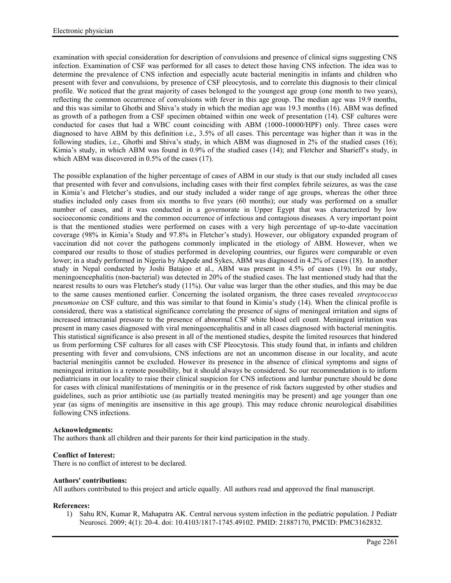examination with special consideration for description of convulsions and presence of clinical signs suggesting CNS infection. Examination of CSF was performed for all cases to detect those having CNS infection. The idea was to determine the prevalence of CNS infection and especially acute bacterial meningitis in infants and children who present with fever and convulsions, by presence of CSF pleocytosis, and to correlate this diagnosis to their clinical profile. We noticed that the great majority of cases belonged to the youngest age group (one month to two years), reflecting the common occurrence of convulsions with fever in this age group. The median age was 19.9 months, and this was similar to Ghotbi and Shiva's study in which the median age was 19.3 months (16). ABM was defined as growth of a pathogen from a CSF specimen obtained within one week of presentation (14). CSF cultures were conducted for cases that had a WBC count coinciding with ABM (1000-10000/HPF) only. Three cases were diagnosed to have ABM by this definition i.e., 3.5% of all cases. This percentage was higher than it was in the following studies, i.e., Ghotbi and Shiva's study, in which ABM was diagnosed in 2% of the studied cases (16); Kimia's study, in which ABM was found in 0.9% of the studied cases (14); and Fletcher and Sharieff's study, in which ABM was discovered in 0.5% of the cases (17).

The possible explanation of the higher percentage of cases of ABM in our study is that our study included all cases that presented with fever and convulsions, including cases with their first complex febrile seizures, as was the case in Kimia's and Fletcher's studies, and our study included a wider range of age groups, whereas the other three studies included only cases from six months to five years (60 months); our study was performed on a smaller number of cases, and it was conducted in a governorate in Upper Egypt that was characterized by low socioeconomic conditions and the common occurrence of infectious and contagious diseases. A very important point is that the mentioned studies were performed on cases with a very high percentage of up-to-date vaccination coverage (98% in Kimia's Study and 97.8% in Fletcher's study). However, our obligatory expanded program of vaccination did not cover the pathogens commonly implicated in the etiology of ABM. However, when we compared our results to those of studies performed in developing countries, our figures were comparable or even lower; in a study performed in Nigeria by Akpede and Sykes, ABM was diagnosed in 4.2% of cases (18). In another study in Nepal conducted by Joshi Batajoo et al., ABM was present in 4.5% of cases (19). In our study, meningoencephalitis (non-bacterial) was detected in 20% of the studied cases. The last mentioned study had that the nearest results to ours was Fletcher's study (11%). Our value was larger than the other studies, and this may be due to the same causes mentioned earlier. Concerning the isolated organism, the three cases revealed *streptococcus pneumoniae* on CSF culture, and this was similar to that found in Kimia's study (14). When the clinical profile is considered, there was a statistical significance correlating the presence of signs of meningeal irritation and signs of increased intracranial pressure to the presence of abnormal CSF white blood cell count. Meningeal irritation was present in many cases diagnosed with viral meningoencephalitis and in all cases diagnosed with bacterial meningitis. This statistical significance is also present in all of the mentioned studies, despite the limited resources that hindered us from performing CSF cultures for all cases with CSF Pleocytosis. This study found that, in infants and children presenting with fever and convulsions, CNS infections are not an uncommon disease in our locality, and acute bacterial meningitis cannot be excluded. However its presence in the absence of clinical symptoms and signs of meningeal irritation is a remote possibility, but it should always be considered. So our recommendation is to inform pediatricians in our locality to raise their clinical suspicion for CNS infections and lumbar puncture should be done for cases with clinical manifestations of meningitis or in the presence of risk factors suggested by other studies and guidelines, such as prior antibiotic use (as partially treated meningitis may be present) and age younger than one year (as signs of meningitis are insensitive in this age group). This may reduce chronic neurological disabilities following CNS infections.

### **Acknowledgments:**

The authors thank all children and their parents for their kind participation in the study.

### **Conflict of Interest:**

There is no conflict of interest to be declared.

#### **Authors' contributions:**

All authors contributed to this project and article equally. All authors read and approved the final manuscript.

### **References:**

1) Sahu RN, Kumar R, Mahapatra AK. Central nervous system infection in the pediatric population. J Pediatr Neurosci. 2009; 4(1): 20-4. doi: 10.4103/1817-1745.49102. PMID: 21887170, PMCID: PMC3162832.